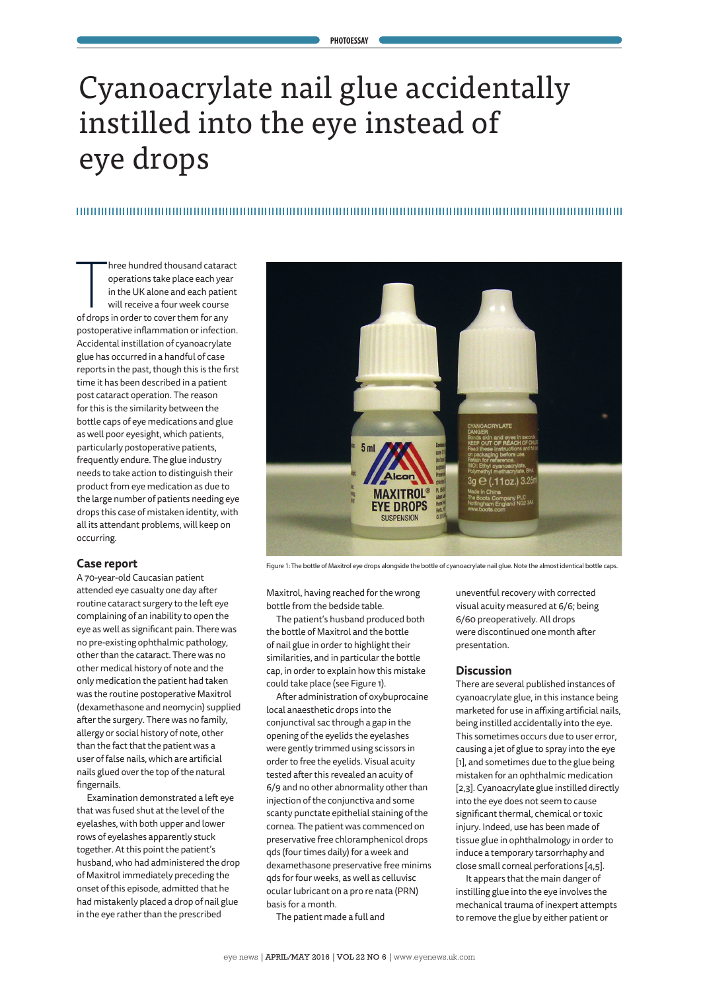#### **PHOTOESSAY**

# Cyanoacrylate nail glue accidentally instilled into the eye instead of eye drops

hree hundred thousand catara<br>
operations take place each yea<br>
in the UK alone and each patie<br>
will receive a four week course<br>
of drops in order to cover them for any hree hundred thousand cataract operations take place each year in the UK alone and each patient will receive a four week course postoperative inflammation or infection. Accidental instillation of cyanoacrylate glue has occurred in a handful of case reports in the past, though this is the first time it has been described in a patient post cataract operation. The reason for this is the similarity between the bottle caps of eye medications and glue as well poor eyesight, which patients, particularly postoperative patients, frequently endure. The glue industry needs to take action to distinguish their product from eye medication as due to the large number of patients needing eye drops this case of mistaken identity, with all its attendant problems, will keep on occurring.

### **Case report**

A 70-year-old Caucasian patient attended eye casualty one day after routine cataract surgery to the left eye complaining of an inability to open the eye as well as significant pain. There was no pre-existing ophthalmic pathology, other than the cataract. There was no other medical history of note and the only medication the patient had taken was the routine postoperative Maxitrol (dexamethasone and neomycin) supplied after the surgery. There was no family, allergy or social history of note, other than the fact that the patient was a user of false nails, which are artificial nails glued over the top of the natural fingernails.

Examination demonstrated a left eye that was fused shut at the level of the eyelashes, with both upper and lower rows of eyelashes apparently stuck together. At this point the patient's husband, who had administered the drop of Maxitrol immediately preceding the onset of this episode, admitted that he had mistakenly placed a drop of nail glue in the eye rather than the prescribed



Figure 1: The bottle of Maxitrol eye drops alongside the bottle of cyanoacrylate nail glue. Note the almost identical bottle caps.

Maxitrol, having reached for the wrong bottle from the bedside table.

The patient's husband produced both the bottle of Maxitrol and the bottle of nail glue in order to highlight their similarities, and in particular the bottle cap, in order to explain how this mistake could take place (see Figure 1).

After administration of oxybuprocaine local anaesthetic drops into the conjunctival sac through a gap in the opening of the eyelids the eyelashes were gently trimmed using scissors in order to free the eyelids. Visual acuity tested after this revealed an acuity of 6/9 and no other abnormality other than injection of the conjunctiva and some scanty punctate epithelial staining of the cornea. The patient was commenced on preservative free chloramphenicol drops qds (four times daily) for a week and dexamethasone preservative free minims qds for four weeks, as well as celluvisc ocular lubricant on a pro re nata (PRN) basis for a month.

The patient made a full and

uneventful recovery with corrected visual acuity measured at 6/6; being 6/60 preoperatively. All drops were discontinued one month after presentation.

#### **Discussion**

There are several published instances of cyanoacrylate glue, in this instance being marketed for use in affixing artificial nails, being instilled accidentally into the eye. This sometimes occurs due to user error, causing a jet of glue to spray into the eye [1], and sometimes due to the glue being mistaken for an ophthalmic medication [2,3]. Cyanoacrylate glue instilled directly into the eye does not seem to cause significant thermal, chemical or toxic injury. Indeed, use has been made of tissue glue in ophthalmology in order to induce a temporary tarsorrhaphy and close small corneal perforations [4,5].

It appears that the main danger of instilling glue into the eye involves the mechanical trauma of inexpert attempts to remove the glue by either patient or